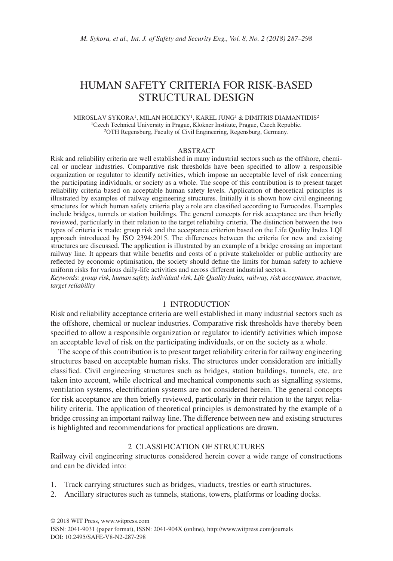# HUMAN SAFETY CRITERIA FOR RISK-BASED STRUCTURAL DESIGN

MIROSLAV SYKORA1, MILAN HOLICKY1, KAREL JUNG1 & DIMITRIS DIAMANTIDIS2 1Czech Technical University in Prague, Klokner Institute, Prague, Czech Republic. 2OTH Regensburg, Faculty of Civil Engineering, Regensburg, Germany.

#### ABSTRACT

Risk and reliability criteria are well established in many industrial sectors such as the offshore, chemical or nuclear industries. Comparative risk thresholds have been specified to allow a responsible organization or regulator to identify activities, which impose an acceptable level of risk concerning the participating individuals, or society as a whole. The scope of this contribution is to present target reliability criteria based on acceptable human safety levels. Application of theoretical principles is illustrated by examples of railway engineering structures. Initially it is shown how civil engineering structures for which human safety criteria play a role are classified according to Eurocodes. Examples include bridges, tunnels or station buildings. The general concepts for risk acceptance are then briefly reviewed, particularly in their relation to the target reliability criteria. The distinction between the two types of criteria is made: group risk and the acceptance criterion based on the Life Quality Index LQI approach introduced by ISO 2394:2015. The differences between the criteria for new and existing structures are discussed. The application is illustrated by an example of a bridge crossing an important railway line. It appears that while benefits and costs of a private stakeholder or public authority are reflected by economic optimisation, the society should define the limits for human safety to achieve uniform risks for various daily-life activities and across different industrial sectors.

*Keywords: group risk, human safety, individual risk, Life Quality Index, railway, risk acceptance, structure, target reliability*

### 1 INTRODUCTION

Risk and reliability acceptance criteria are well established in many industrial sectors such as the offshore, chemical or nuclear industries. Comparative risk thresholds have thereby been specified to allow a responsible organization or regulator to identify activities which impose an acceptable level of risk on the participating individuals, or on the society as a whole.

The scope of this contribution is to present target reliability criteria for railway engineering structures based on acceptable human risks. The structures under consideration are initially classified. Civil engineering structures such as bridges, station buildings, tunnels, etc. are taken into account, while electrical and mechanical components such as signalling systems, ventilation systems, electrification systems are not considered herein. The general concepts for risk acceptance are then briefly reviewed, particularly in their relation to the target reliability criteria. The application of theoretical principles is demonstrated by the example of a bridge crossing an important railway line. The difference between new and existing structures is highlighted and recommendations for practical applications are drawn.

# 2 CLASSIFICATION OF STRUCTURES

Railway civil engineering structures considered herein cover a wide range of constructions and can be divided into:

- 1. Track carrying structures such as bridges, viaducts, trestles or earth structures.
- 2. Ancillary structures such as tunnels, stations, towers, platforms or loading docks.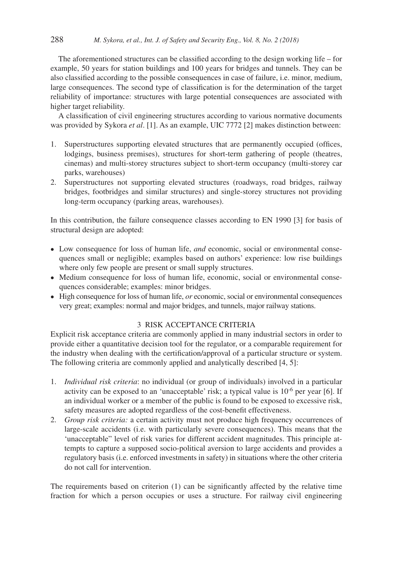The aforementioned structures can be classified according to the design working life – for example, 50 years for station buildings and 100 years for bridges and tunnels. They can be also classified according to the possible consequences in case of failure, i.e. minor, medium, large consequences. The second type of classification is for the determination of the target reliability of importance: structures with large potential consequences are associated with higher target reliability.

A classification of civil engineering structures according to various normative documents was provided by Sykora *et al*. [1]. As an example, UIC 7772 [2] makes distinction between:

- 1. Superstructures supporting elevated structures that are permanently occupied (offices, lodgings, business premises), structures for short-term gathering of people (theatres, cinemas) and multi-storey structures subject to short-term occupancy (multi-storey car parks, warehouses)
- 2. Superstructures not supporting elevated structures (roadways, road bridges, railway bridges, footbridges and similar structures) and single-storey structures not providing long-term occupancy (parking areas, warehouses).

In this contribution, the failure consequence classes according to EN 1990 [3] for basis of structural design are adopted:

- Low consequence for loss of human life, *and* economic, social or environmental consequences small or negligible; examples based on authors' experience: low rise buildings where only few people are present or small supply structures.
- Medium consequence for loss of human life, economic, social or environmental consequences considerable; examples: minor bridges.
- High consequence for loss of human life, *or* economic, social or environmental consequences very great; examples: normal and major bridges, and tunnels, major railway stations.

# 3 RISK ACCEPTANCE CRITERIA

Explicit risk acceptance criteria are commonly applied in many industrial sectors in order to provide either a quantitative decision tool for the regulator, or a comparable requirement for the industry when dealing with the certification/approval of a particular structure or system. The following criteria are commonly applied and analytically described [4, 5]:

- 1. *Individual risk criteria*: no individual (or group of individuals) involved in a particular activity can be exposed to an 'unacceptable' risk; a typical value is  $10^{-6}$  per year [6]. If an individual worker or a member of the public is found to be exposed to excessive risk, safety measures are adopted regardless of the cost-benefit effectiveness.
- 2. *Group risk criteria:* a certain activity must not produce high frequency occurrences of large-scale accidents (i.e. with particularly severe consequences). This means that the 'unacceptable" level of risk varies for different accident magnitudes. This principle attempts to capture a supposed socio-political aversion to large accidents and provides a regulatory basis (i.e. enforced investments in safety) in situations where the other criteria do not call for intervention.

The requirements based on criterion (1) can be significantly affected by the relative time fraction for which a person occupies or uses a structure. For railway civil engineering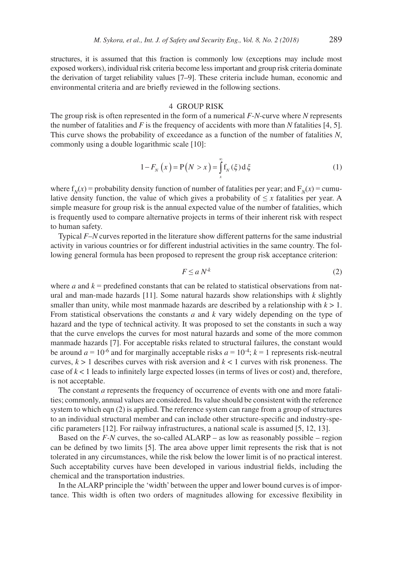structures, it is assumed that this fraction is commonly low (exceptions may include most exposed workers), individual risk criteria become less important and group risk criteria dominate the derivation of target reliability values [7–9]. These criteria include human, economic and environmental criteria and are briefly reviewed in the following sections.

## 4 GROUP RISK

The group risk is often represented in the form of a numerical *F*-*N*-curve where *N* represents the number of fatalities and  $F$  is the frequency of accidents with more than  $N$  fatalities [4, 5]. This curve shows the probability of exceedance as a function of the number of fatalities *N*, commonly using a double logarithmic scale [10]:

$$
1 - F_N(x) = P(N > x) = \int_x^{\infty} f_N(\xi) d\xi
$$
 (1)

where  $f_N(x)$  = probability density function of number of fatalities per year; and  $F_N(x)$  = cumulative density function, the value of which gives a probability of  $\leq x$  fatalities per year. A simple measure for group risk is the annual expected value of the number of fatalities, which is frequently used to compare alternative projects in terms of their inherent risk with respect to human safety.

Typical *F*–*N* curves reported in the literature show different patterns for the same industrial activity in various countries or for different industrial activities in the same country. The following general formula has been proposed to represent the group risk acceptance criterion:

$$
F \le a N^{k} \tag{2}
$$

where *a* and  $k$  = predefined constants that can be related to statistical observations from natural and man-made hazards [11]. Some natural hazards show relationships with *k* slightly smaller than unity, while most manmade hazards are described by a relationship with  $k > 1$ . From statistical observations the constants *a* and *k* vary widely depending on the type of hazard and the type of technical activity. It was proposed to set the constants in such a way that the curve envelops the curves for most natural hazards and some of the more common manmade hazards [7]. For acceptable risks related to structural failures, the constant would be around  $a = 10^{-6}$  and for marginally acceptable risks  $a = 10^{-4}$ ;  $k = 1$  represents risk-neutral curves,  $k > 1$  describes curves with risk aversion and  $k < 1$  curves with risk proneness. The case of *k* < 1 leads to infinitely large expected losses (in terms of lives or cost) and, therefore, is not acceptable.

The constant *a* represents the frequency of occurrence of events with one and more fatalities; commonly, annual values are considered. Its value should be consistent with the reference system to which eqn (2) is applied. The reference system can range from a group of structures to an individual structural member and can include other structure-specific and industry-specific parameters [12]. For railway infrastructures, a national scale is assumed [5, 12, 13].

Based on the *F-N* curves, the so-called ALARP – as low as reasonably possible – region can be defined by two limits [5]. The area above upper limit represents the risk that is not tolerated in any circumstances, while the risk below the lower limit is of no practical interest. Such acceptability curves have been developed in various industrial fields, including the chemical and the transportation industries.

In the ALARP principle the 'width' between the upper and lower bound curves is of importance. This width is often two orders of magnitudes allowing for excessive flexibility in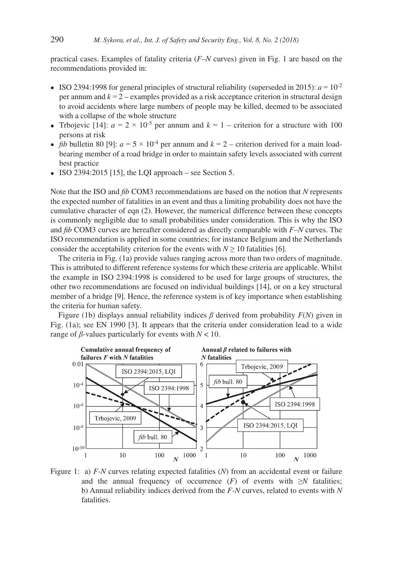practical cases. Examples of fatality criteria (*F–N* curves) given in Fig. 1 are based on the recommendations provided in:

- ISO 2394:1998 for general principles of structural reliability (superseded in 2015):  $a = 10^{-2}$ per annum and *k* = 2 – examples provided as a risk acceptance criterion in structural design to avoid accidents where large numbers of people may be killed, deemed to be associated with a collapse of the whole structure
- Trbojevic [14]:  $a = 2 \times 10^{-5}$  per annum and  $k = 1$  criterion for a structure with 100 persons at risk
- *fib* bulletin 80 [9]:  $a = 5 \times 10^{-4}$  per annum and  $k = 2$  criterion derived for a main loadbearing member of a road bridge in order to maintain safety levels associated with current best practice
- ISO 2394:2015 [15], the LQI approach see Section 5.

Note that the ISO and *fib* COM3 recommendations are based on the notion that *N* represents the expected number of fatalities in an event and thus a limiting probability does not have the cumulative character of eqn (2). However, the numerical difference between these concepts is commonly negligible due to small probabilities under consideration. This is why the ISO and *fib* COM3 curves are hereafter considered as directly comparable with *F–N* curves. The ISO recommendation is applied in some countries; for instance Belgium and the Netherlands consider the acceptability criterion for the events with  $N \ge 10$  fatalities [6].

The criteria in Fig. (1a) provide values ranging across more than two orders of magnitude. This is attributed to different reference systems for which these criteria are applicable. Whilst the example in ISO 2394:1998 is considered to be used for large groups of structures, the other two recommendations are focused on individual buildings [14], or on a key structural member of a bridge [9]. Hence, the reference system is of key importance when establishing the criteria for human safety.

Figure (1b) displays annual reliability indices *β* derived from probability *F*(*N*) given in Fig. (1a); see EN 1990 [3]. It appears that the criteria under consideration lead to a wide range of *β*-values particularly for events with *N* < 10.



Figure 1: a) *F-N* curves relating expected fatalities (*N*) from an accidental event or failure and the annual frequency of occurrence  $(F)$  of events with  $\geq N$  fatalities; b) Annual reliability indices derived from the *F-N* curves, related to events with *N* fatalities.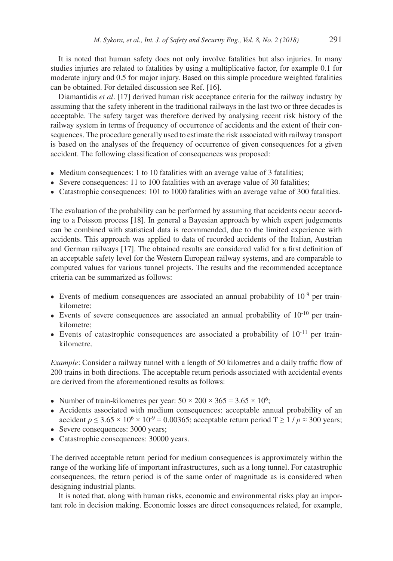It is noted that human safety does not only involve fatalities but also injuries. In many studies injuries are related to fatalities by using a multiplicative factor, for example 0.1 for moderate injury and 0.5 for major injury. Based on this simple procedure weighted fatalities can be obtained. For detailed discussion see Ref. [16].

Diamantidis *et al*. [17] derived human risk acceptance criteria for the railway industry by assuming that the safety inherent in the traditional railways in the last two or three decades is acceptable. The safety target was therefore derived by analysing recent risk history of the railway system in terms of frequency of occurrence of accidents and the extent of their consequences. The procedure generally used to estimate the risk associated with railway transport is based on the analyses of the frequency of occurrence of given consequences for a given accident. The following classification of consequences was proposed:

- Medium consequences: 1 to 10 fatalities with an average value of 3 fatalities;
- Severe consequences: 11 to 100 fatalities with an average value of 30 fatalities;
- Catastrophic consequences: 101 to 1000 fatalities with an average value of 300 fatalities.

The evaluation of the probability can be performed by assuming that accidents occur according to a Poisson process [18]. In general a Bayesian approach by which expert judgements can be combined with statistical data is recommended, due to the limited experience with accidents. This approach was applied to data of recorded accidents of the Italian, Austrian and German railways [17]. The obtained results are considered valid for a first definition of an acceptable safety level for the Western European railway systems, and are comparable to computed values for various tunnel projects. The results and the recommended acceptance criteria can be summarized as follows:

- Events of medium consequences are associated an annual probability of  $10^{-9}$  per trainkilometre;
- Events of severe consequences are associated an annual probability of  $10^{-10}$  per trainkilometre;
- Events of catastrophic consequences are associated a probability of  $10^{-11}$  per trainkilometre.

*Example*: Consider a railway tunnel with a length of 50 kilometres and a daily traffic flow of 200 trains in both directions. The acceptable return periods associated with accidental events are derived from the aforementioned results as follows:

- Number of train-kilometres per year:  $50 \times 200 \times 365 = 3.65 \times 10^6$ ;
- Accidents associated with medium consequences: acceptable annual probability of an accident  $p \leq 3.65 \times 10^6 \times 10^{-9} = 0.00365$ ; acceptable return period  $T \geq 1/p \approx 300$  years;
- Severe consequences: 3000 years;
- Catastrophic consequences: 30000 years.

The derived acceptable return period for medium consequences is approximately within the range of the working life of important infrastructures, such as a long tunnel. For catastrophic consequences, the return period is of the same order of magnitude as is considered when designing industrial plants.

It is noted that, along with human risks, economic and environmental risks play an important role in decision making. Economic losses are direct consequences related, for example,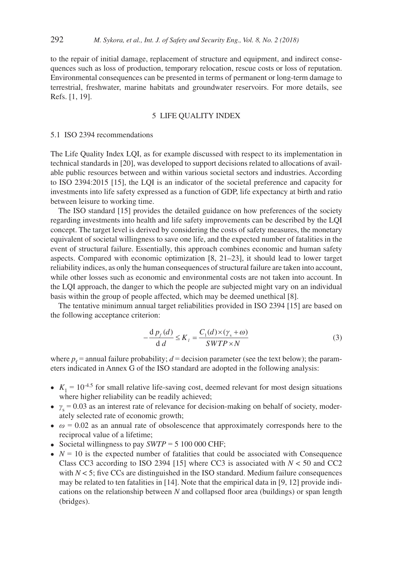to the repair of initial damage, replacement of structure and equipment, and indirect consequences such as loss of production, temporary relocation, rescue costs or loss of reputation. Environmental consequences can be presented in terms of permanent or long-term damage to terrestrial, freshwater, marine habitats and groundwater reservoirs. For more details, see Refs. [1, 19].

# 5 LIFE QUALITY INDEX

#### 5.1 ISO 2394 recommendations

The Life Quality Index LQI, as for example discussed with respect to its implementation in technical standards in [20], was developed to support decisions related to allocations of available public resources between and within various societal sectors and industries. According to ISO 2394:2015 [15], the LQI is an indicator of the societal preference and capacity for investments into life safety expressed as a function of GDP, life expectancy at birth and ratio between leisure to working time.

The ISO standard [15] provides the detailed guidance on how preferences of the society regarding investments into health and life safety improvements can be described by the LQI concept. The target level is derived by considering the costs of safety measures, the monetary equivalent of societal willingness to save one life, and the expected number of fatalities in the event of structural failure. Essentially, this approach combines economic and human safety aspects. Compared with economic optimization [8, 21–23], it should lead to lower target reliability indices, as only the human consequences of structural failure are taken into account, while other losses such as economic and environmental costs are not taken into account. In the LQI approach, the danger to which the people are subjected might vary on an individual basis within the group of people affected, which may be deemed unethical [8].

The tentative minimum annual target reliabilities provided in ISO 2394 [15] are based on the following acceptance criterion:

$$
-\frac{d p_f(d)}{d d} \le K_l = \frac{C_1(d) \times (\gamma_s + \omega)}{SWTP \times N}
$$
 (3)

where  $p_f$  = annual failure probability;  $d$  = decision parameter (see the text below); the parameters indicated in Annex G of the ISO standard are adopted in the following analysis:

- $K_1 = 10^{-4.5}$  for small relative life-saving cost, deemed relevant for most design situations where higher reliability can be readily achieved;
- $\gamma_s = 0.03$  as an interest rate of relevance for decision-making on behalf of society, moderately selected rate of economic growth;
- $\omega = 0.02$  as an annual rate of obsolescence that approximately corresponds here to the reciprocal value of a lifetime;
- Societal willingness to pay  $SWTP = 5 100 000 \text{ CHF}$ ;
- $N = 10$  is the expected number of fatalities that could be associated with Consequence Class CC3 according to ISO 2394 [15] where CC3 is associated with  $N < 50$  and CC2 with *N* < 5; five CCs are distinguished in the ISO standard. Medium failure consequences may be related to ten fatalities in  $[14]$ . Note that the empirical data in [9, 12] provide indications on the relationship between *N* and collapsed floor area (buildings) or span length (bridges).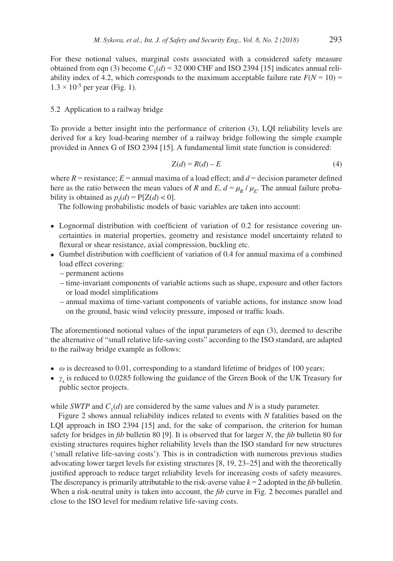For these notional values, marginal costs associated with a considered safety measure obtained from eqn (3) become  $C_1(d) = 32,000$  CHF and ISO 2394 [15] indicates annual reliability index of 4.2, which corresponds to the maximum acceptable failure rate  $F(N = 10)$  $1.3 \times 10^{-5}$  per year (Fig. 1).

## 5.2 Application to a railway bridge

To provide a better insight into the performance of criterion (3), LQI reliability levels are derived for a key load-bearing member of a railway bridge following the simple example provided in Annex G of ISO 2394 [15]. A fundamental limit state function is considered:

$$
Z(d) = R(d) - E \tag{4}
$$

where  $R$  = resistance;  $E$  = annual maxima of a load effect; and  $d$  = decision parameter defined here as the ratio between the mean values of *R* and *E*,  $d = \mu_R / \mu_F$ . The annual failure probability is obtained as  $p_f(d) = P[Z(d) < 0]$ .

The following probabilistic models of basic variables are taken into account:

- Lognormal distribution with coefficient of variation of 0.2 for resistance covering uncertainties in material properties, geometry and resistance model uncertainty related to flexural or shear resistance, axial compression, buckling etc.
- Gumbel distribution with coefficient of variation of 0.4 for annual maxima of a combined load effect covering:
	- permanent actions
	- time-invariant components of variable actions such as shape, exposure and other factors or load model simplifications
	- annual maxima of time-variant components of variable actions, for instance snow load on the ground, basic wind velocity pressure, imposed or traffic loads.

The aforementioned notional values of the input parameters of eqn (3), deemed to describe the alternative of "small relative life-saving costs" according to the ISO standard, are adapted to the railway bridge example as follows:

- *ω* is decreased to 0.01, corresponding to a standard lifetime of bridges of 100 years;
- γ<sub>s</sub> is reduced to 0.0285 following the guidance of the Green Book of the UK Treasury for public sector projects.

while *SWTP* and  $C_1(d)$  are considered by the same values and *N* is a study parameter.

Figure 2 shows annual reliability indices related to events with *N* fatalities based on the LQI approach in ISO 2394 [15] and, for the sake of comparison, the criterion for human safety for bridges in *fib* bulletin 80 [9]. It is observed that for larger *N*, the *fib* bulletin 80 for existing structures requires higher reliability levels than the ISO standard for new structures ('small relative life-saving costs'). This is in contradiction with numerous previous studies advocating lower target levels for existing structures [8, 19, 23–25] and with the theoretically justified approach to reduce target reliability levels for increasing costs of safety measures. The discrepancy is primarily attributable to the risk-averse value *k* = 2 adopted in the *fib* bulletin. When a risk-neutral unity is taken into account, the *fib* curve in Fig. 2 becomes parallel and close to the ISO level for medium relative life-saving costs.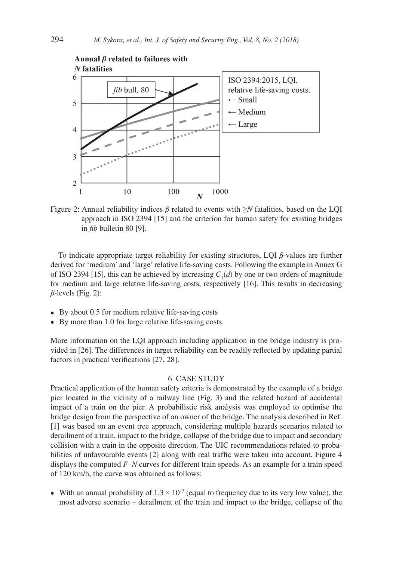

Figure 2: Annual reliability indices *β* related to events with ≥*N* fatalities, based on the LQI approach in ISO 2394 [15] and the criterion for human safety for existing bridges in *fib* bulletin 80 [9].

To indicate appropriate target reliability for existing structures, LQI *β*-values are further derived for 'medium' and 'large' relative life-saving costs. Following the example in Annex G of ISO 2394 [15], this can be achieved by increasing  $C_1(d)$  by one or two orders of magnitude for medium and large relative life-saving costs, respectively [16]. This results in decreasing *β*-levels (Fig. 2):

- By about 0.5 for medium relative life-saving costs
- By more than 1.0 for large relative life-saving costs.

More information on the LQI approach including application in the bridge industry is provided in [26]. The differences in target reliability can be readily reflected by updating partial factors in practical verifications [27, 28].

#### 6 CASE STUDY

Practical application of the human safety criteria is demonstrated by the example of a bridge pier located in the vicinity of a railway line (Fig. 3) and the related hazard of accidental impact of a train on the pier. A probabilistic risk analysis was employed to optimise the bridge design from the perspective of an owner of the bridge. The analysis described in Ref. [1] was based on an event tree approach, considering multiple hazards scenarios related to derailment of a train, impact to the bridge, collapse of the bridge due to impact and secondary collision with a train in the opposite direction. The UIC recommendations related to probabilities of unfavourable events [2] along with real traffic were taken into account. Figure 4 displays the computed *F–N* curves for different train speeds. As an example for a train speed of 120 km/h, the curve was obtained as follows:

• With an annual probability of  $1.3 \times 10^{-7}$  (equal to frequency due to its very low value), the most adverse scenario – derailment of the train and impact to the bridge, collapse of the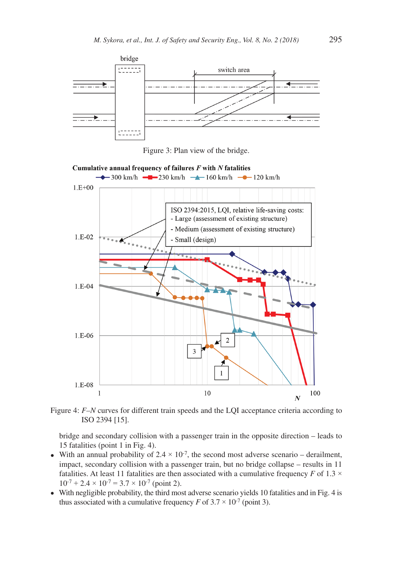



Cumulative annual frequency of failures  $F$  with  $N$  fatalities



Figure 4: *F–N* curves for different train speeds and the LQI acceptance criteria according to ISO 2394 [15].

bridge and secondary collision with a passenger train in the opposite direction – leads to 15 fatalities (point 1 in Fig. 4).

- With an annual probability of  $2.4 \times 10^{-7}$ , the second most adverse scenario derailment, impact, secondary collision with a passenger train, but no bridge collapse – results in 11 fatalities. At least 11 fatalities are then associated with a cumulative frequency *F* of 1.3  $\times$  $10^{-7} + 2.4 \times 10^{-7} = 3.7 \times 10^{-7}$  (point 2).
- With negligible probability, the third most adverse scenario yields 10 fatalities and in Fig. 4 is thus associated with a cumulative frequency *F* of  $3.7 \times 10^{-7}$  (point 3).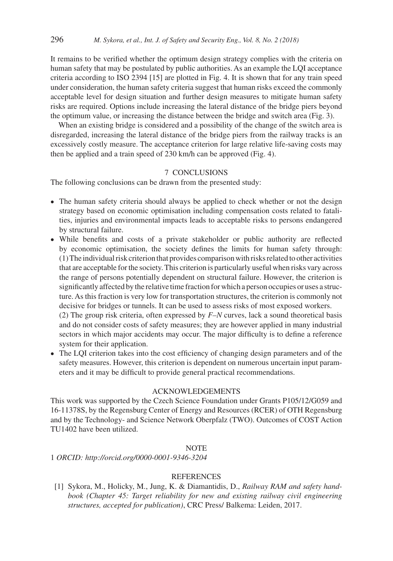It remains to be verified whether the optimum design strategy complies with the criteria on human safety that may be postulated by public authorities. As an example the LQI acceptance criteria according to ISO 2394 [15] are plotted in Fig. 4. It is shown that for any train speed under consideration, the human safety criteria suggest that human risks exceed the commonly acceptable level for design situation and further design measures to mitigate human safety risks are required. Options include increasing the lateral distance of the bridge piers beyond the optimum value, or increasing the distance between the bridge and switch area (Fig. 3).

When an existing bridge is considered and a possibility of the change of the switch area is disregarded, increasing the lateral distance of the bridge piers from the railway tracks is an excessively costly measure. The acceptance criterion for large relative life-saving costs may then be applied and a train speed of 230 km/h can be approved (Fig. 4).

## 7 CONCLUSIONS

The following conclusions can be drawn from the presented study:

- The human safety criteria should always be applied to check whether or not the design strategy based on economic optimisation including compensation costs related to fatalities, injuries and environmental impacts leads to acceptable risks to persons endangered by structural failure.
- While benefits and costs of a private stakeholder or public authority are reflected by economic optimisation, the society defines the limits for human safety through: (1) The individual risk criterion that provides comparison with risks related to other activities that are acceptable for the society. This criterion is particularly useful when risks vary across the range of persons potentially dependent on structural failure. However, the criterion is significantly affected by the relative time fraction for which a person occupies or uses a structure. As this fraction is very low for transportation structures, the criterion is commonly not decisive for bridges or tunnels. It can be used to assess risks of most exposed workers.

(2) The group risk criteria, often expressed by *F–N* curves, lack a sound theoretical basis and do not consider costs of safety measures; they are however applied in many industrial sectors in which major accidents may occur. The major difficulty is to define a reference system for their application.

• The LQI criterion takes into the cost efficiency of changing design parameters and of the safety measures. However, this criterion is dependent on numerous uncertain input parameters and it may be difficult to provide general practical recommendations.

# ACKNOWLEDGEMENTS

This work was supported by the Czech Science Foundation under Grants P105/12/G059 and 16-11378S, by the Regensburg Center of Energy and Resources (RCER) of OTH Regensburg and by the Technology- and Science Network Oberpfalz (TWO). Outcomes of COST Action TU1402 have been utilized.

#### **NOTE**

1 *ORCID: http://orcid.org/0000-0001-9346-3204*

## **REFERENCES**

[1] Sykora, M., Holicky, M., Jung, K. & Diamantidis, D., *Railway RAM and safety handbook (Chapter 45: Target reliability for new and existing railway civil engineering structures, accepted for publication)*, CRC Press/ Balkema: Leiden, 2017.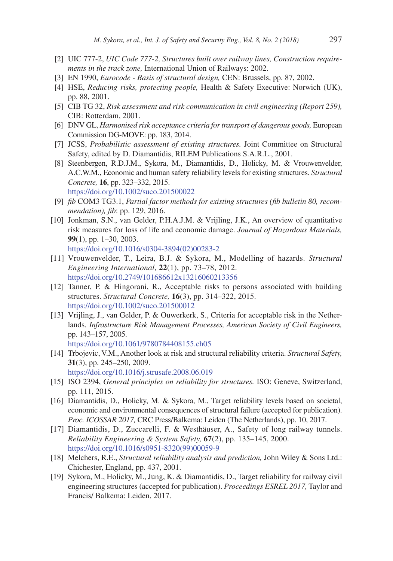- [2] UIC 777-2, *UIC Code 777-2, Structures built over railway lines, Construction requirements in the track zone,* International Union of Railways: 2002.
- [3] EN 1990, *Eurocode Basis of structural design,* CEN: Brussels, pp. 87, 2002.
- [4] HSE, *Reducing risks, protecting people,* Health & Safety Executive: Norwich (UK), pp. 88, 2001.
- [5] CIB TG 32, *Risk assessment and risk communication in civil engineering (Report 259),* CIB: Rotterdam, 2001.
- [6] DNV GL, *Harmonised risk acceptance criteria for transport of dangerous goods*, European Commission DG-MOVE: pp. 183, 2014.
- [7] JCSS, *Probabilistic assessment of existing structures.* Joint Committee on Structural Safety, edited by D. Diamantidis, RILEM Publications S.A.R.L., 2001.
- [8] Steenbergen, R.D.J.M., Sykora, M., Diamantidis, D., Holicky, M. & Vrouwenvelder, A.C.W.M., Economic and human safety reliability levels for existing structures. *Structural Concrete,* **16**, pp. 323–332, 2015. https://doi.org/10.1002/suco.201500022
- [9] *fib* COM3 TG3.1, *Partial factor methods for existing structures (fib bulletin 80, recommendation), fib*: pp. 129, 2016.
- [10] Jonkman, S.N., van Gelder, P.H.A.J.M. & Vrijling, J.K., An overview of quantitative risk measures for loss of life and economic damage. *Journal of Hazardous Materials,* **99**(1), pp. 1–30, 2003. https://doi.org/10.1016/s0304-3894(02)00283-2
- [11] Vrouwenvelder, T., Leira, B.J. & Sykora, M., Modelling of hazards. *Structural Engineering International,* **22**(1), pp. 73–78, 2012. https://doi.org/10.2749/101686612x13216060213356
- [12] Tanner, P. & Hingorani, R., Acceptable risks to persons associated with building structures. *Structural Concrete,* **16**(3), pp. 314–322, 2015. https://doi.org/10.1002/suco.201500012
- [13] Vrijling, J., van Gelder, P. & Ouwerkerk, S., Criteria for acceptable risk in the Netherlands. *Infrastructure Risk Management Processes, American Society of Civil Engineers,* pp. 143–157, 2005.
	- https://doi.org/10.1061/9780784408155.ch05
- [14] Trbojevic, V.M., Another look at risk and structural reliability criteria. *Structural Safety,* **31**(3), pp. 245–250, 2009. https://doi.org/10.1016/j.strusafe.2008.06.019
- [15] ISO 2394, *General principles on reliability for structures.* ISO: Geneve, Switzerland, pp. 111, 2015.
- [16] Diamantidis, D., Holicky, M. & Sykora, M., Target reliability levels based on societal, economic and environmental consequences of structural failure (accepted for publication). *Proc. ICOSSAR 2017,* CRC Press/Balkema: Leiden (The Netherlands), pp. 10, 2017.
- [17] Diamantidis, D., Zuccarelli, F. & Westhäuser, A., Safety of long railway tunnels. *Reliability Engineering & System Safety,* **67**(2), pp. 135–145, 2000. https://doi.org/10.1016/s0951-8320(99)00059-9
- [18] Melchers, R.E., *Structural reliability analysis and prediction,* John Wiley & Sons Ltd.: Chichester, England, pp. 437, 2001.
- [19] Sykora, M., Holicky, M., Jung, K. & Diamantidis, D., Target reliability for railway civil engineering structures (accepted for publication). *Proceedings ESREL 2017,* Taylor and Francis/ Balkema: Leiden, 2017.